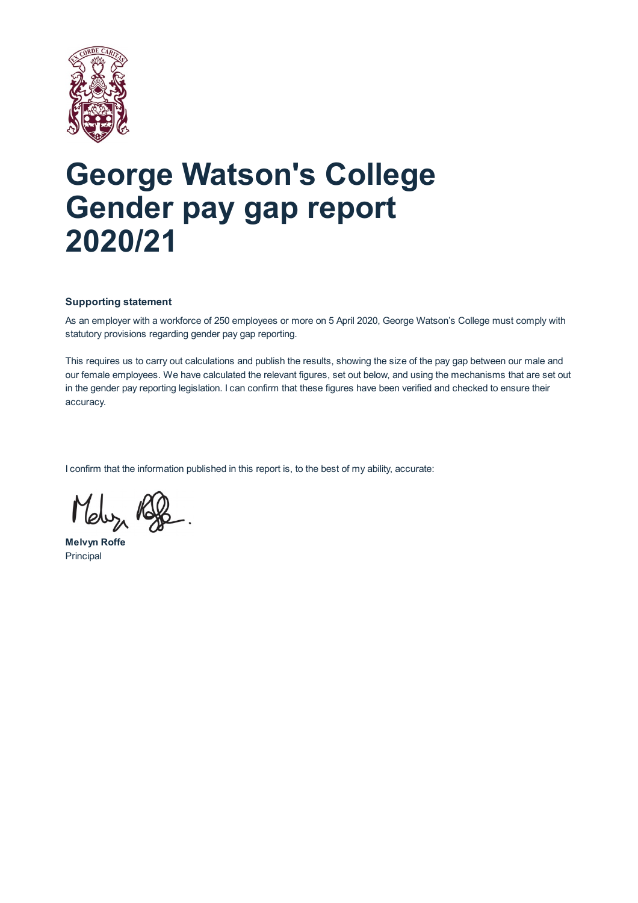

# **George Watson's College Gender pay gap report 2020/21**

### **Supporting statement**

As an employer with a workforce of 250 employees or more on 5 April 2020, George Watson's College must comply with statutory provisions regarding gender pay gap reporting.

This requires us to carry out calculations and publish the results, showing the size of the pay gap between our male and our female employees. We have calculated the relevant figures, set out below, and using the mechanisms that are set out in the gender pay reporting legislation. I can confirm that these figures have been verified and checked to ensure their accuracy.

I confirm that the information published in this report is, to the best of my ability, accurate:

**Melvyn Roffe** Principal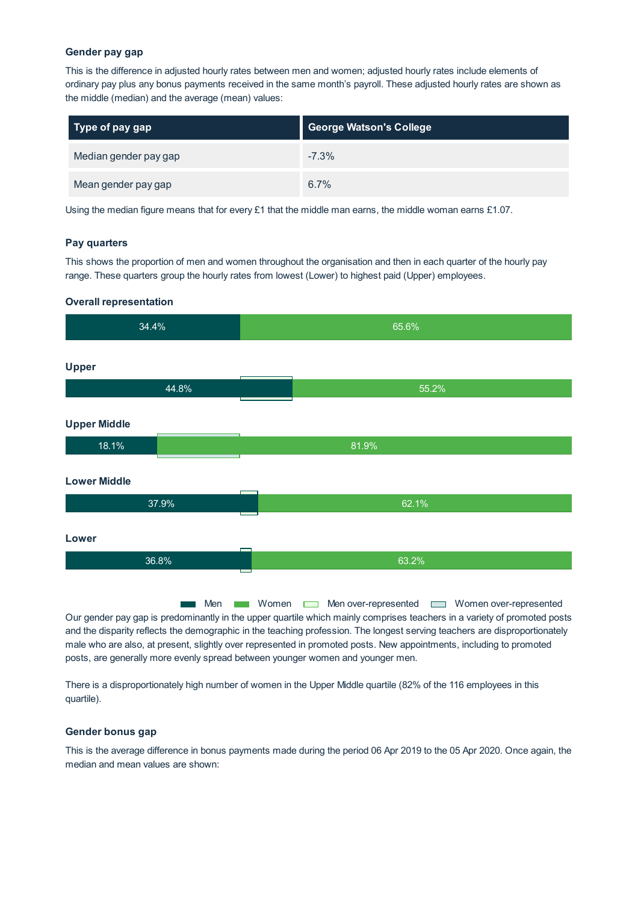#### **Gender pay gap**

This is the difference in adjusted hourly rates between men and women; adjusted hourly rates include elements of ordinary pay plus any bonus payments received in the same month's payroll. These adjusted hourly rates are shown as the middle (median) and the average (mean) values:

| Type of pay gap       | <b>George Watson's College</b> |
|-----------------------|--------------------------------|
| Median gender pay gap | $-7.3%$                        |
| Mean gender pay gap   | 6.7%                           |

Using the median figure means that for every  $£1$  that the middle man earns, the middle woman earns  $£1.07$ .

#### **Pay quarters**

This shows the proportion of men and women throughout the organisation and then in each quarter of the hourly pay range. These quarters group the hourly rates from lowest (Lower) to highest paid (Upper) employees.

#### **Overall representation**

| 34.4%               | 65.6% |
|---------------------|-------|
| <b>Upper</b>        |       |
| 44.8%               | 55.2% |
| <b>Upper Middle</b> |       |
| 18.1%               | 81.9% |
| <b>Lower Middle</b> |       |
| 37.9%               | 62.1% |
| Lower               |       |
| 36.8%               | 63.2% |
|                     |       |

Men **Men Women** Men over-represented **Men** Women over-represented Our gender pay gap is predominantly in the upper quartile which mainly comprises teachers in a variety of promoted posts and the disparity reflects the demographic in the teaching profession. The longest serving teachers are disproportionately male who are also, at present, slightly over represented in promoted posts. New appointments, including to promoted posts, are generally more evenly spread between younger women and younger men.

There is a disproportionately high number of women in the Upper Middle quartile (82% of the 116 employees in this quartile).

#### **Gender bonus gap**

This is the average difference in bonus payments made during the period 06 Apr 2019 to the 05 Apr 2020. Once again, the median and mean values are shown: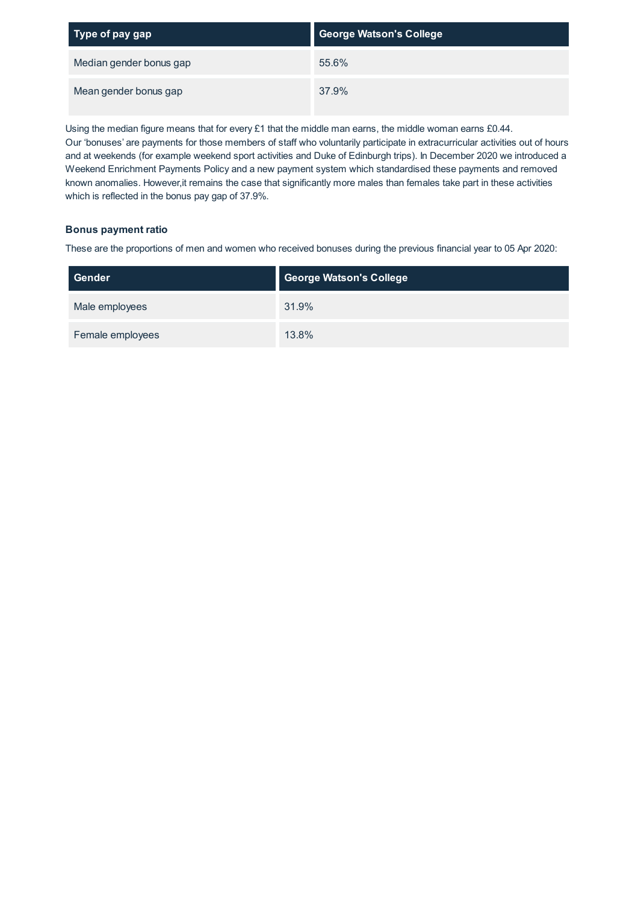| Type of pay gap         | <b>George Watson's College</b> |
|-------------------------|--------------------------------|
| Median gender bonus gap | 55.6%                          |
| Mean gender bonus gap   | 37.9%                          |

Using the median figure means that for every £1 that the middle man earns, the middle woman earns £0.44. Our 'bonuses' are payments for those members of staff who voluntarily participate in extracurricular activities out of hours and at weekends (for example weekend sport activities and Duke of Edinburgh trips). In December 2020 we introduced a Weekend Enrichment Payments Policy and a new payment system which standardised these payments and removed known anomalies. However,it remains the case that significantly more males than females take part in these activities which is reflected in the bonus pay gap of 37.9%.

## **Bonus payment ratio**

These are the proportions of men and women who received bonuses during the previous financial year to 05 Apr 2020:

| Gender           | <b>George Watson's College</b> |
|------------------|--------------------------------|
| Male employees   | 31.9%                          |
| Female employees | 13.8%                          |